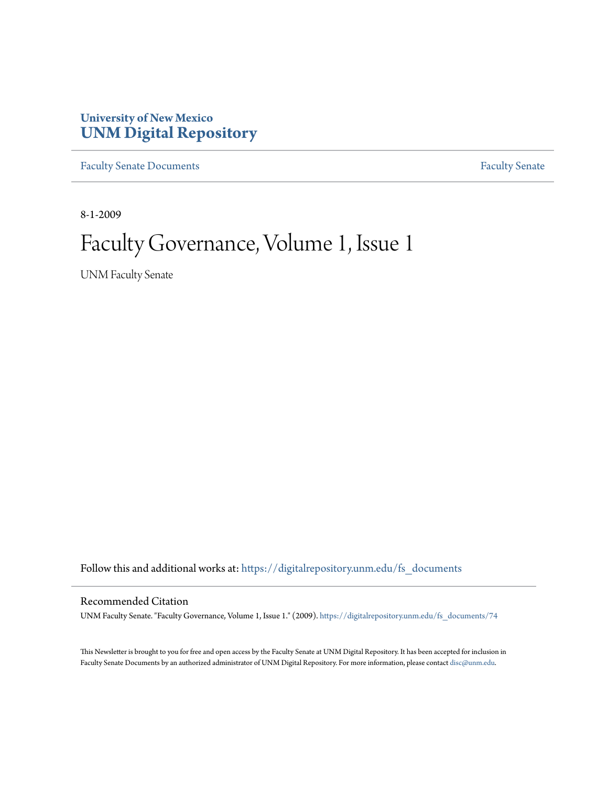### **University of New Mexico [UNM Digital Repository](https://digitalrepository.unm.edu?utm_source=digitalrepository.unm.edu%2Ffs_documents%2F74&utm_medium=PDF&utm_campaign=PDFCoverPages)**

[Faculty Senate Documents](https://digitalrepository.unm.edu/fs_documents?utm_source=digitalrepository.unm.edu%2Ffs_documents%2F74&utm_medium=PDF&utm_campaign=PDFCoverPages) **[Faculty Senate](https://digitalrepository.unm.edu/faculty_senate?utm_source=digitalrepository.unm.edu%2Ffs_documents%2F74&utm_medium=PDF&utm_campaign=PDFCoverPages)** Procuments **Faculty** Senate

8-1-2009

## Faculty Governance, Volume 1, Issue 1

UNM Faculty Senate

Follow this and additional works at: [https://digitalrepository.unm.edu/fs\\_documents](https://digitalrepository.unm.edu/fs_documents?utm_source=digitalrepository.unm.edu%2Ffs_documents%2F74&utm_medium=PDF&utm_campaign=PDFCoverPages)

### Recommended Citation

UNM Faculty Senate. "Faculty Governance, Volume 1, Issue 1." (2009). [https://digitalrepository.unm.edu/fs\\_documents/74](https://digitalrepository.unm.edu/fs_documents/74?utm_source=digitalrepository.unm.edu%2Ffs_documents%2F74&utm_medium=PDF&utm_campaign=PDFCoverPages)

This Newsletter is brought to you for free and open access by the Faculty Senate at UNM Digital Repository. It has been accepted for inclusion in Faculty Senate Documents by an authorized administrator of UNM Digital Repository. For more information, please contact [disc@unm.edu](mailto:disc@unm.edu).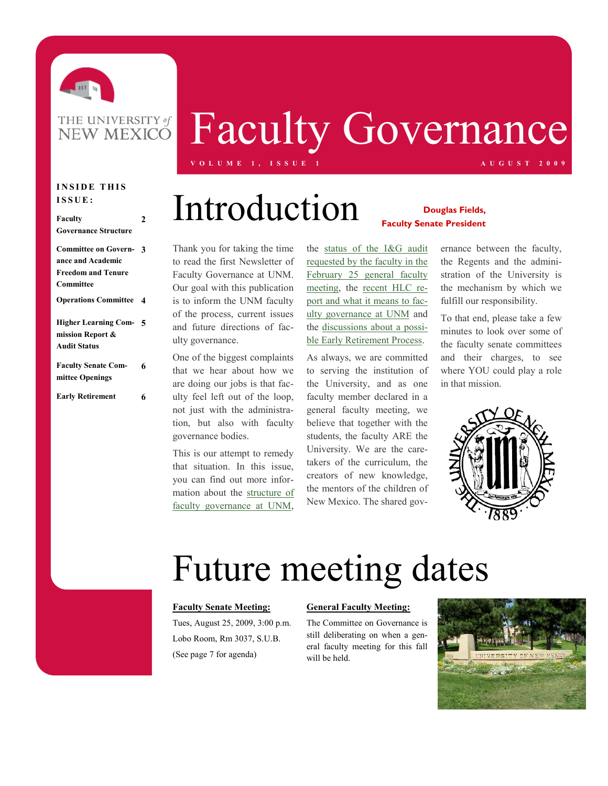

## Faculty Governance **V O L U M E 1 , I S S U E 1 A U G U S T 2 0 0 9**

### **INSIDE THIS I S S U E :**

### **Faculty Governance Structure 2 Committee on Govern-3 ance and Academic Freedom and Tenure Committee Operations Committee 4 Higher Learning Com-5 mission Report & Audit Status Faculty Senate Committee Openings 6 Early Retirement 6**

# **Douglas Fields,** Introduction **Faculty Senate President**

Thank you for taking the time to read the first Newsletter of Faculty Governance at UNM. Our goal with this publication is to inform the UNM faculty of the process, current issues and future directions of faculty governance.

One of the biggest complaints that we hear about how we are doing our jobs is that faculty feel left out of the loop, not just with the administration, but also with faculty governance bodies.

This is our attempt to remedy that situation. In this issue, you can find out more information about the [structure of](#page-2-0)  [faculty governance at UNM,](#page-2-0) 

the [status of the I&G audit](#page-5-0)  [requested by the faculty in the](#page-5-0)  [February 25 general faculty](#page-5-0)  [meeting,](#page-5-0) the [recent HLC re](#page-5-0)[port and what it means to fac](#page-5-0)[ulty governance at UNM](#page-5-0) and the [discussions about a possi](#page-6-0)[ble Early Retirement Process.](#page-6-0)

As always, we are committed to serving the institution of the University, and as one faculty member declared in a general faculty meeting, we believe that together with the students, the faculty ARE the University. We are the caretakers of the curriculum, the creators of new knowledge, the mentors of the children of New Mexico. The shared gov-

ernance between the faculty, the Regents and the administration of the University is the mechanism by which we fulfill our responsibility.

To that end, please take a few minutes to look over some of the faculty senate committees and their charges, to see where YOU could play a role in that mission.



# Future meeting dates

#### **Faculty Senate Meeting:**

Tues, August 25, 2009, 3:00 p.m. Lobo Room, Rm 3037, S.U.B. (See page 7 for agenda)

#### **General Faculty Meeting:**

The Committee on Governance is still deliberating on when a general faculty meeting for this fall will be held.

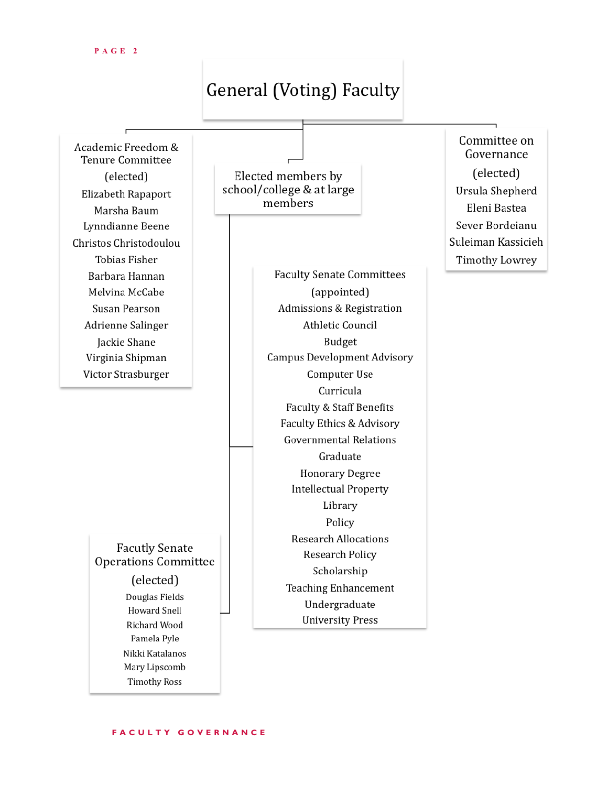## **General (Voting) Faculty**

<span id="page-2-0"></span>Academic Freedom & **Tenure Committee** (elected) Elizabeth Rapaport Marsha Baum Lynndianne Beene Christos Christodoulou **Tobias Fisher** Barbara Hannan Melvina McCabe Susan Pearson Adrienne Salinger Jackie Shane Virginia Shipman Victor Strasburger

> **Facutly Senate Operations Committee** (elected)

Douglas Fields **Howard Snell** Richard Wood Pamela Pyle Nikki Katalanos Mary Lipscomb **Timothy Ross** 

Elected members by school/college & at large members

> **Faculty Senate Committees** (appointed) Admissions & Registration Athletic Council Budget **Campus Development Advisory** Computer Use Curricula Faculty & Staff Benefits Faculty Ethics & Advisory **Governmental Relations** Graduate **Honorary Degree Intellectual Property** Library Policy **Research Allocations** Research Policy Scholarship **Teaching Enhancement** Undergraduate **University Press**

Committee on Governance (elected) Ursula Shepherd Eleni Bastea Sever Bordeianu Suleiman Kassicieh **Timothy Lowrey** 

### **F A C U L T Y G O V E R N A N C E**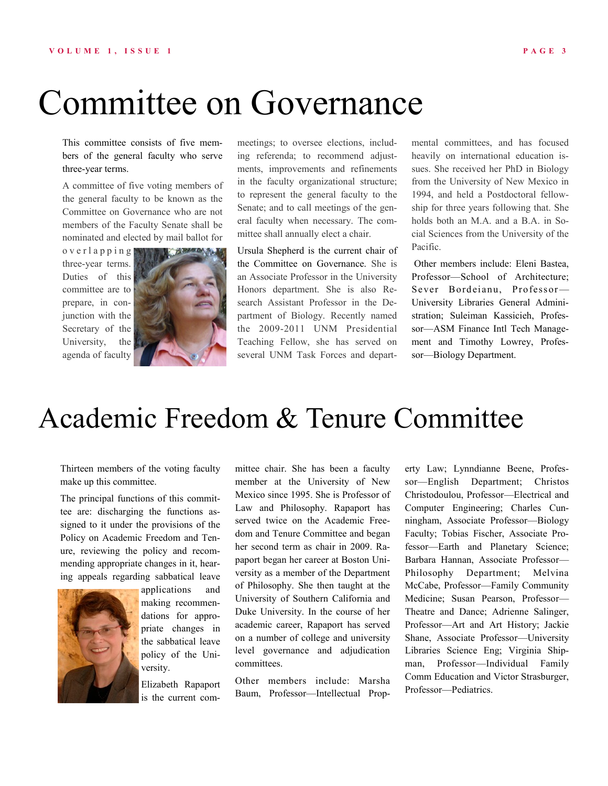# Committee on Governance

This committee consists of five members of the general faculty who serve three-year terms.

A committee of five voting members of the general faculty to be known as the Committee on Governance who are not members of the Faculty Senate shall be nominated and elected by mail ballot for

o v e r l a p p i n g three-year terms. Duties of this committee are to prepare, in conjunction with the Secretary of the University, the agenda of faculty



meetings; to oversee elections, including referenda; to recommend adjustments, improvements and refinements in the faculty organizational structure; to represent the general faculty to the Senate; and to call meetings of the general faculty when necessary. The committee shall annually elect a chair.

Ursula Shepherd is the current chair of the Committee on Governance. She is an Associate Professor in the University Honors department. She is also Research Assistant Professor in the Department of Biology. Recently named the 2009-2011 UNM Presidential Teaching Fellow, she has served on several UNM Task Forces and departmental committees, and has focused heavily on international education issues. She received her PhD in Biology from the University of New Mexico in 1994, and held a Postdoctoral fellowship for three years following that. She holds both an M.A. and a B.A. in Social Sciences from the University of the Pacific.

Other members include: Eleni Bastea, Professor—School of Architecture; Sever Bordeianu, Professor— University Libraries General Administration; Suleiman Kassicieh, Professor—ASM Finance Intl Tech Management and Timothy Lowrey, Professor—Biology Department.

## Academic Freedom & Tenure Committee

Thirteen members of the voting faculty make up this committee.

The principal functions of this committee are: discharging the functions assigned to it under the provisions of the Policy on Academic Freedom and Tenure, reviewing the policy and recommending appropriate changes in it, hearing appeals regarding sabbatical leave



applications and making recommendations for appropriate changes in the sabbatical leave policy of the University.

Elizabeth Rapaport is the current committee chair. She has been a faculty member at the University of New Mexico since 1995. She is Professor of Law and Philosophy. Rapaport has served twice on the Academic Freedom and Tenure Committee and began her second term as chair in 2009. Rapaport began her career at Boston University as a member of the Department of Philosophy. She then taught at the University of Southern California and Duke University. In the course of her academic career, Rapaport has served on a number of college and university level governance and adjudication committees.

Other members include: Marsha Baum, Professor—Intellectual Property Law; Lynndianne Beene, Professor—English Department; Christos Christodoulou, Professor—Electrical and Computer Engineering; Charles Cunningham, Associate Professor—Biology Faculty; Tobias Fischer, Associate Professor—Earth and Planetary Science; Barbara Hannan, Associate Professor— Philosophy Department; Melvina McCabe, Professor—Family Community Medicine; Susan Pearson, Professor— Theatre and Dance; Adrienne Salinger, Professor—Art and Art History; Jackie Shane, Associate Professor—University Libraries Science Eng; Virginia Shipman, Professor—Individual Family Comm Education and Victor Strasburger, Professor—Pediatrics.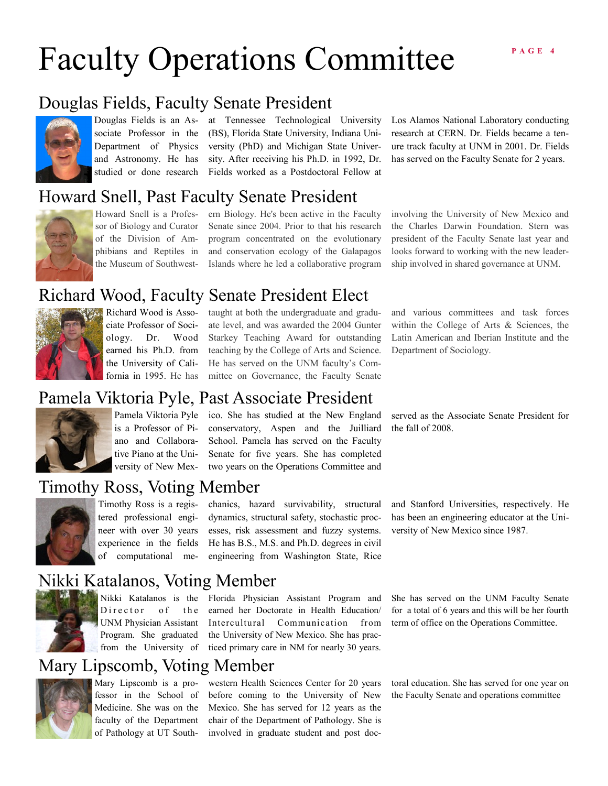# Faculty Operations Committee



sociate Professor in the and Astronomy. He has

Douglas Fields is an As-at Tennessee Technological University Department of Physics versity (PhD) and Michigan State Universtudied or done research Fields worked as a Postdoctoral Fellow at (BS), Florida State University, Indiana Unisity. After receiving his Ph.D. in 1992, Dr.

### Howard Snell, Past Faculty Senate President



sor of Biology and Curator of the Division of Amphibians and Reptiles in the Museum of Southwest-

Howard Snell is a Profes-ern Biology. He's been active in the Faculty Senate since 2004. Prior to that his research

program concentrated on the evolutionary and conservation ecology of the Galapagos Islands where he led a collaborative program

Los Alamos National Laboratory conducting research at CERN. Dr. Fields became a tenure track faculty at UNM in 2001. Dr. Fields has served on the Faculty Senate for 2 years.

### involving the University of New Mexico and the Charles Darwin Foundation. Stern was president of the Faculty Senate last year and looks forward to working with the new leadership involved in shared governance at UNM.

### Richard Wood, Faculty Senate President Elect



Richard Wood is Associate Professor of Sociology. Dr. Wood earned his Ph.D. from the University of California in 1995. He has

taught at both the undergraduate and graduate level, and was awarded the 2004 Gunter Starkey Teaching Award for outstanding teaching by the College of Arts and Science. He has served on the UNM faculty's Committee on Governance, the Faculty Senate and various committees and task forces within the College of Arts & Sciences, the Latin American and Iberian Institute and the Department of Sociology.

### Pamela Viktoria Pyle, Past Associate President



is a Professor of Piano and Collaborative Piano at the University of New Mex-

Pamela Viktoria Pyle ico. She has studied at the New England conservatory, Aspen and the Juilliard School. Pamela has served on the Faculty Senate for five years. She has completed two years on the Operations Committee and

### Timothy Ross, Voting Member



Timothy Ross is a registered professional engineer with over 30 years experience in the fields of computational mechanics, hazard survivability, structural dynamics, structural safety, stochastic processes, risk assessment and fuzzy systems. He has B.S., M.S. and Ph.D. degrees in civil engineering from Washington State, Rice served as the Associate Senate President for the fall of 2008.

### and Stanford Universities, respectively. He has been an engineering educator at the University of New Mexico since 1987.

### Nikki Katalanos, Voting Member



Director of the UNM Physician Assistant Program. She graduated from the University of

Nikki Katalanos is the Florida Physician Assistant Program and earned her Doctorate in Health Education/ Intercultural Communication from the University of New Mexico. She has practiced primary care in NM for nearly 30 years.

### Mary Lipscomb, Voting Member



fessor in the School of Medicine. She was on the faculty of the Department of Pathology at UT South-

Mary Lipscomb is a pro- western Health Sciences Center for 20 years before coming to the University of New Mexico. She has served for 12 years as the chair of the Department of Pathology. She is involved in graduate student and post doc-

She has served on the UNM Faculty Senate for a total of 6 years and this will be her fourth term of office on the Operations Committee.

toral education. She has served for one year on the Faculty Senate and operations committee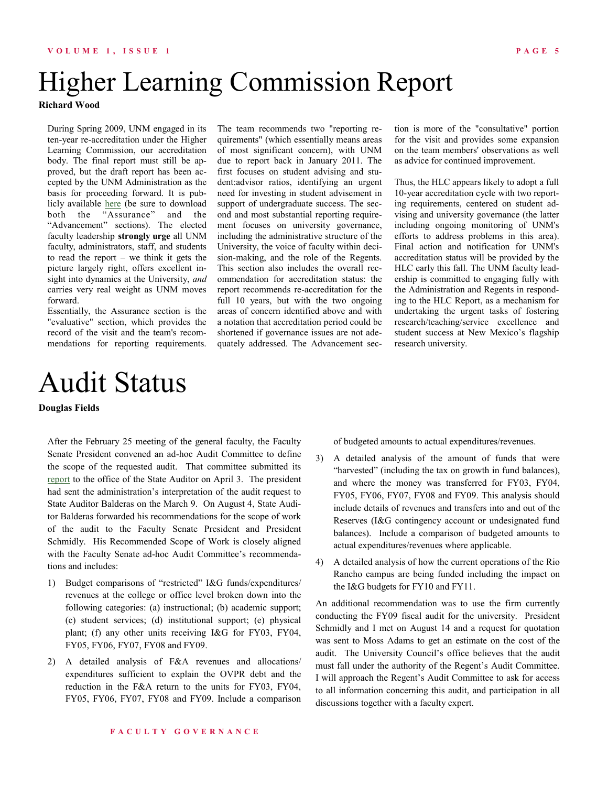## <span id="page-5-0"></span>Higher Learning Commission Report

**Richard Wood**

During Spring 2009, UNM engaged in its ten-year re-accreditation under the Higher Learning Commission, our accreditation body. The final report must still be approved, but the draft report has been accepted by the UNM Administration as the basis for proceeding forward. It is publicly available [here](http://www.unm.edu/~accred/2009ReportOfAVisit.html) (be sure to download both the "Assurance" and the "Advancement" sections). The elected faculty leadership **strongly urge** all UNM faculty, administrators, staff, and students to read the report – we think it gets the picture largely right, offers excellent insight into dynamics at the University, *and* carries very real weight as UNM moves forward.

Essentially, the Assurance section is the "evaluative" section, which provides the record of the visit and the team's recommendations for reporting requirements.

## Audit Status

**Douglas Fields**

After the February 25 meeting of the general faculty, the Faculty Senate President convened an ad-hoc Audit Committee to define the scope of the requested audit. That committee submitted its [report](http://facgov.unm.edu/AuditQuestions.pdf) to the office of the State Auditor on April 3. The president had sent the administration's interpretation of the audit request to State Auditor Balderas on the March 9. On August 4, State Auditor Balderas forwarded his recommendations for the scope of work of the audit to the Faculty Senate President and President Schmidly. His Recommended Scope of Work is closely aligned with the Faculty Senate ad-hoc Audit Committee's recommendations and includes:

- 1) Budget comparisons of "restricted" I&G funds/expenditures/ revenues at the college or office level broken down into the following categories: (a) instructional; (b) academic support; (c) student services; (d) institutional support; (e) physical plant; (f) any other units receiving I&G for FY03, FY04, FY05, FY06, FY07, FY08 and FY09.
- 2) A detailed analysis of F&A revenues and allocations/ expenditures sufficient to explain the OVPR debt and the reduction in the F&A return to the units for FY03, FY04, FY05, FY06, FY07, FY08 and FY09. Include a comparison

The team recommends two "reporting requirements" (which essentially means areas of most significant concern), with UNM due to report back in January 2011. The first focuses on student advising and student:advisor ratios, identifying an urgent need for investing in student advisement in support of undergraduate success. The second and most substantial reporting requirement focuses on university governance, including the administrative structure of the University, the voice of faculty within decision-making, and the role of the Regents.

This section also includes the overall recommendation for accreditation status: the report recommends re-accreditation for the full 10 years, but with the two ongoing areas of concern identified above and with a notation that accreditation period could be shortened if governance issues are not adequately addressed. The Advancement sec-

tion is more of the "consultative" portion for the visit and provides some expansion on the team members' observations as well as advice for continued improvement.

Thus, the HLC appears likely to adopt a full 10-year accreditation cycle with two reporting requirements, centered on student advising and university governance (the latter including ongoing monitoring of UNM's efforts to address problems in this area). Final action and notification for UNM's accreditation status will be provided by the HLC early this fall. The UNM faculty leadership is committed to engaging fully with the Administration and Regents in responding to the HLC Report, as a mechanism for undertaking the urgent tasks of fostering research/teaching/service excellence and student success at New Mexico's flagship research university.

of budgeted amounts to actual expenditures/revenues.

- 3) A detailed analysis of the amount of funds that were "harvested" (including the tax on growth in fund balances), and where the money was transferred for FY03, FY04, FY05, FY06, FY07, FY08 and FY09. This analysis should include details of revenues and transfers into and out of the Reserves (I&G contingency account or undesignated fund balances). Include a comparison of budgeted amounts to actual expenditures/revenues where applicable.
- 4) A detailed analysis of how the current operations of the Rio Rancho campus are being funded including the impact on the I&G budgets for FY10 and FY11.

An additional recommendation was to use the firm currently conducting the FY09 fiscal audit for the university. President Schmidly and I met on August 14 and a request for quotation was sent to Moss Adams to get an estimate on the cost of the audit. The University Council's office believes that the audit must fall under the authority of the Regent's Audit Committee. I will approach the Regent's Audit Committee to ask for access to all information concerning this audit, and participation in all discussions together with a faculty expert.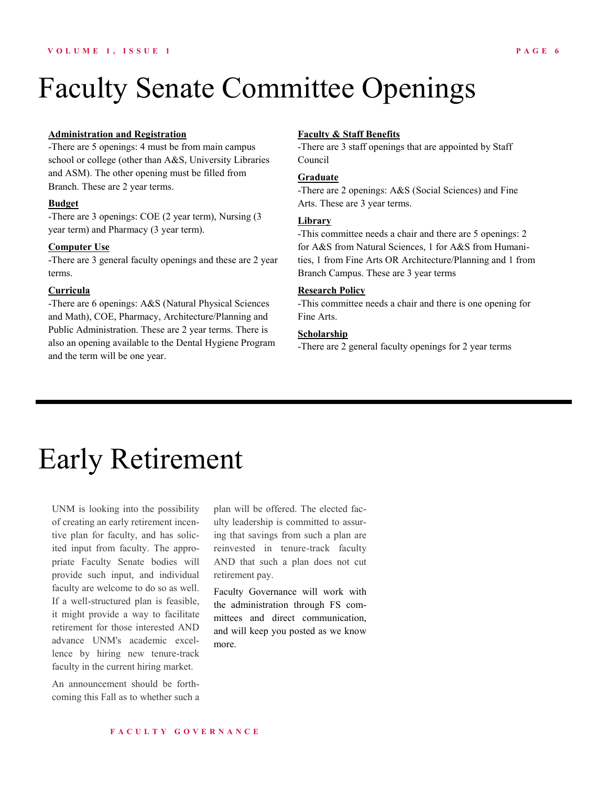## <span id="page-6-0"></span>Faculty Senate Committee Openings

#### **Administration and Registration**

-There are 5 openings: 4 must be from main campus school or college (other than A&S, University Libraries and ASM). The other opening must be filled from Branch. These are 2 year terms.

#### **Budget**

-There are 3 openings: COE (2 year term), Nursing (3 year term) and Pharmacy (3 year term).

### **Computer Use**

-There are 3 general faculty openings and these are 2 year terms.

### **Curricula**

-There are 6 openings: A&S (Natural Physical Sciences and Math), COE, Pharmacy, Architecture/Planning and Public Administration. These are 2 year terms. There is also an opening available to the Dental Hygiene Program and the term will be one year.

### **Faculty & Staff Benefits**

-There are 3 staff openings that are appointed by Staff Council

### **Graduate**

-There are 2 openings: A&S (Social Sciences) and Fine Arts. These are 3 year terms.

#### **Library**

-This committee needs a chair and there are 5 openings: 2 for A&S from Natural Sciences, 1 for A&S from Humanities, 1 from Fine Arts OR Architecture/Planning and 1 from Branch Campus. These are 3 year terms

### **Research Policy**

-This committee needs a chair and there is one opening for Fine Arts.

### **Scholarship**

-There are 2 general faculty openings for 2 year terms

## Early Retirement

UNM is looking into the possibility of creating an early retirement incentive plan for faculty, and has solicited input from faculty. The appropriate Faculty Senate bodies will provide such input, and individual faculty are welcome to do so as well. If a well-structured plan is feasible, it might provide a way to facilitate retirement for those interested AND advance UNM's academic excellence by hiring new tenure-track faculty in the current hiring market.

An announcement should be forthcoming this Fall as to whether such a

plan will be offered. The elected faculty leadership is committed to assuring that savings from such a plan are reinvested in tenure-track faculty AND that such a plan does not cut retirement pay.

Faculty Governance will work with the administration through FS committees and direct communication, and will keep you posted as we know more.